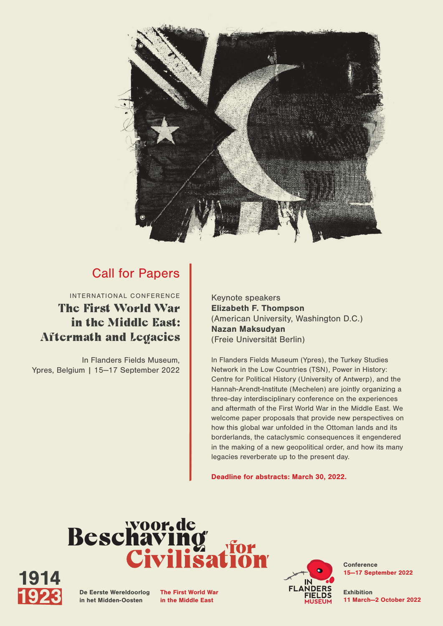

### Call for Papers

INTERNATIONAL CONFERENCE The First World War in the Middle East: Aftermath and Legacies

In Flanders Fields Museum, Ypres, Belgium | 15—17 September 2022 Keynote speakers Elizabeth F. Thompson (American University, Washington D.C.) Nazan Maksudyan (Freie Universität Berlin)

In Flanders Fields Museum (Ypres), the Turkey Studies Network in the Low Countries (TSN), Power in History: Centre for Political History (University of Antwerp), and the Hannah-Arendt-Institute (Mechelen) are jointly organizing a three-day interdisciplinary conference on the experiences and aftermath of the First World War in the Middle East. We welcome paper proposals that provide new perspectives on how this global war unfolded in the Ottoman lands and its borderlands, the cataclysmic consequences it engendered in the making of a new geopolitical order, and how its many legacies reverberate up to the present day.

Deadline for abstracts: March 30, 2022.





De Eerste Wereldoorlog in het Midden-Oosten

The First World War in the Middle East



**Conference** 15—17 September 2022

Exhibition 11 March—2 October 2022